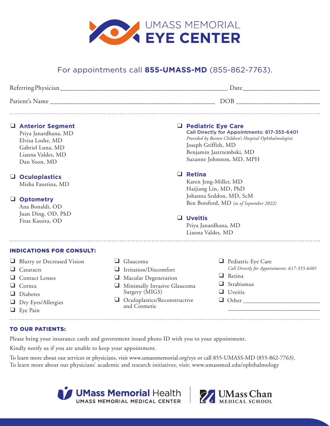

# For appointments call **855-UMASS-MD** (855-862-7763).

| Referring Physician | Date |
|---------------------|------|
| Patient's Name      | DOB  |

### ❑ **Anterior Segment**

Priya Janardhana, MD Elvisa Loshe, MD Gabriel Luna, MD Lianna Valdes, MD Dan Yoon, MD

## ❑ **Oculoplastics**

Misha Faustina, MD

### ❑ **Optometry**

Ana Bonaldi, OD Juan Ding, OD, PhD Firas Kassira, OD

# ❑ **Pediatric Eye Care**

Call Directly for Appointments: 617-355-6401 *Provided by Boston Children's Hospital Ophthalmologists* Joseph Griffith, MD Benjamin Jastrzembski, MD Suzanne Johnston, MD, MPH

## ❑ **Retina**

Karen Jeng-Miller, MD Haijiang Lin, MD, PhD Johanna Seddon, MD, ScM Ben Botsford, MD *(as of September 2022)*

### ❑ **Uveitis**

Priya Janardhana, MD Lianna Valdes, MD

#### INDICATIONS FOR CONSULT:

- ❑ Blurry or Decreased Vision
- ❑ Cataracts
- ❑ Contact Lenses
- ❑ Cornea
- ❑ Diabetes
- ❑ Dry Eyes/Allergies
- ❑ Eye Pain
- ❑ Glaucoma
- ❑ Irritation/Discomfort
- ❑ Macular Degeneration
- ❑ Minimally Invasive Glaucoma Surgery (MIGS)
- ❑ Oculoplastics/Reconstructive and Cosmetic
- ❑ Pediatric Eye Care *Call Directly for Appointments: 617-355-6401* ❑ Retina

\_\_\_\_\_\_\_\_\_\_\_\_\_\_\_\_\_\_\_\_\_\_\_\_\_\_\_\_\_\_

- ❑ Strabismus
- ❑ Uveitis
- ❑ Other \_\_\_\_\_\_\_\_\_\_\_\_\_\_\_\_\_\_\_\_\_\_\_\_\_

### TO OUR PATIENTS:

Please bring your insurance cards and government issued photo ID with you to your appointment.

Kindly notify us if you are unable to keep your appointment.

To learn more about our services or physicians, visit www.umassmemorial.org/eye or call 855-UMASS-MD (855-862-7763). To learn more about our physicians' academic and research initiatives, visit: www.umassmed.edu/ophthalmology